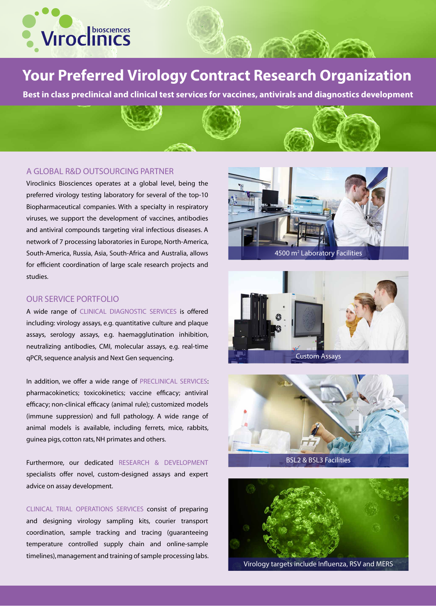

## **Your Preferred Virology Contract Research Organization**

**Best in class preclinical and clinical test services for vaccines, antivirals and diagnostics development**

## A GLOBAL R&D OUTSOURCING PARTNER

Viroclinics Biosciences operates at a global level, being the preferred virology testing laboratory for several of the top-10 Biopharmaceutical companies. With a specialty in respiratory viruses, we support the development of vaccines, antibodies and antiviral compounds targeting viral infectious diseases. A network of 7 processing laboratories in Europe, North-America, South-America, Russia, Asia, South-Africa and Australia, allows for efficient coordination of large scale research projects and studies.

## OUR SERVICE PORTFOLIO

A wide range of CLINICAL DIAGNOSTIC SERVICES is offered including: virology assays, e.g. quantitative culture and plaque assays, serology assays, e.g. haemagglutination inhibition, neutralizing antibodies, CMI, molecular assays, e.g. real-time qPCR, sequence analysis and Next Gen sequencing.

In addition, we offer a wide range of PRECLINICAL SERVICES: pharmacokinetics; toxicokinetics; vaccine efficacy; antiviral efficacy; non-clinical efficacy (animal rule); customized models (immune suppression) and full pathology. A wide range of animal models is available, including ferrets, mice, rabbits, guinea pigs, cotton rats, NH primates and others.

Furthermore, our dedicated RESEARCH & DEVELOPMENT specialists offer novel, custom-designed assays and expert advice on assay development.

CLINICAL TRIAL OPERATIONS SERVICES consist of preparing and designing virology sampling kits, courier transport coordination, sample tracking and tracing (guaranteeing temperature controlled supply chain and online-sample timelines), management and training of sample processing labs.



4500 m2 Laboratory Facilities





BSL2 & BSL3 Facilities



Virology targets include Influenza, RSV and MERS